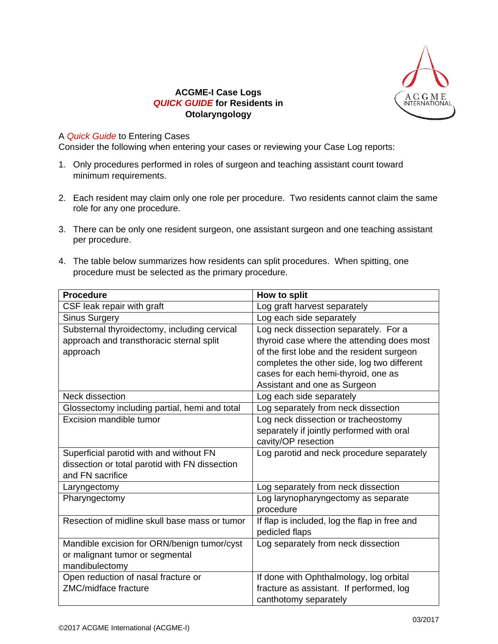

## **ACGME-I Case Logs** *QUICK GUIDE* **for Residents in Otolaryngology**

## A *Quick Guide* to Entering Cases

Consider the following when entering your cases or reviewing your Case Log reports:

- 1. Only procedures performed in roles of surgeon and teaching assistant count toward minimum requirements.
- 2. Each resident may claim only one role per procedure. Two residents cannot claim the same role for any one procedure.
- 3. There can be only one resident surgeon, one assistant surgeon and one teaching assistant per procedure.
- 4. The table below summarizes how residents can split procedures. When spitting, one procedure must be selected as the primary procedure.

| <b>Procedure</b>                               | How to split                                  |
|------------------------------------------------|-----------------------------------------------|
| CSF leak repair with graft                     | Log graft harvest separately                  |
| <b>Sinus Surgery</b>                           | Log each side separately                      |
| Substernal thyroidectomy, including cervical   | Log neck dissection separately. For a         |
| approach and transthoracic sternal split       | thyroid case where the attending does most    |
| approach                                       | of the first lobe and the resident surgeon    |
|                                                | completes the other side, log two different   |
|                                                | cases for each hemi-thyroid, one as           |
|                                                | Assistant and one as Surgeon                  |
| Neck dissection                                | Log each side separately                      |
| Glossectomy including partial, hemi and total  | Log separately from neck dissection           |
| <b>Excision mandible tumor</b>                 | Log neck dissection or tracheostomy           |
|                                                | separately if jointly performed with oral     |
|                                                | cavity/OP resection                           |
| Superficial parotid with and without FN        | Log parotid and neck procedure separately     |
| dissection or total parotid with FN dissection |                                               |
| and FN sacrifice                               |                                               |
| Laryngectomy                                   | Log separately from neck dissection           |
| Pharyngectomy                                  | Log larynopharyngectomy as separate           |
|                                                | procedure                                     |
| Resection of midline skull base mass or tumor  | If flap is included, log the flap in free and |
|                                                | pedicled flaps                                |
| Mandible excision for ORN/benign tumor/cyst    | Log separately from neck dissection           |
| or malignant tumor or segmental                |                                               |
| mandibulectomy                                 |                                               |
| Open reduction of nasal fracture or            | If done with Ophthalmology, log orbital       |
| ZMC/midface fracture                           | fracture as assistant. If performed, log      |
|                                                | canthotomy separately                         |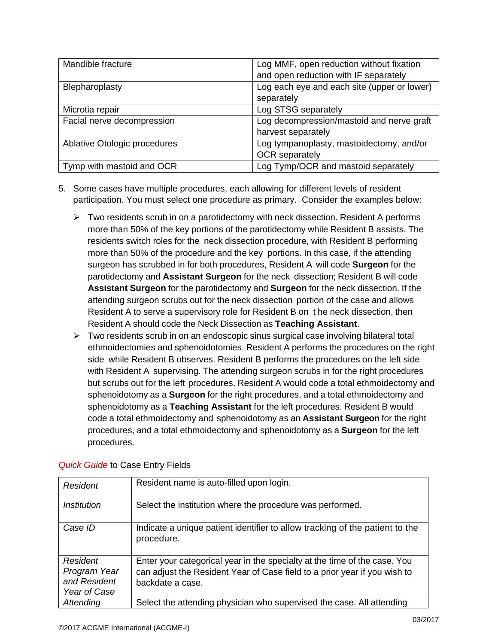| Mandible fracture            | Log MMF, open reduction without fixation<br>and open reduction with IF separately |
|------------------------------|-----------------------------------------------------------------------------------|
| Blepharoplasty               | Log each eye and each site (upper or lower)<br>separately                         |
| Microtia repair              | Log STSG separately                                                               |
| Facial nerve decompression   | Log decompression/mastoid and nerve graft<br>harvest separately                   |
| Ablative Otologic procedures | Log tympanoplasty, mastoidectomy, and/or<br><b>OCR</b> separately                 |
| Tymp with mastoid and OCR    | Log Tymp/OCR and mastoid separately                                               |

- 5. Some cases have multiple procedures, each allowing for different levels of resident participation. You must select one procedure as primary. Consider the examples below:
	- $\triangleright$  Two residents scrub in on a parotidectomy with neck dissection. Resident A performs more than 50% of the key portions of the parotidectomy while Resident B assists. The residents switch roles for the neck dissection procedure, with Resident B performing more than 50% of the procedure and the key portions. In this case, if the attending surgeon has scrubbed in for both procedures, Resident A will code **Surgeon** for the parotidectomy and **Assistant Surgeon** for the neck dissection; Resident B will code **Assistant Surgeon** for the parotidectomy and **Surgeon** for the neck dissection. If the attending surgeon scrubs out for the neck dissection portion of the case and allows Resident A to serve a supervisory role for Resident B on t he neck dissection, then Resident A should code the Neck Dissection as **Teaching Assistant**.
	- $\triangleright$  Two residents scrub in on an endoscopic sinus surgical case involving bilateral total ethmoidectomies and sphenoidotomies. Resident A performs the procedures on the right side while Resident B observes. Resident B performs the procedures on the left side with Resident A supervising. The attending surgeon scrubs in for the right procedures but scrubs out for the left procedures. Resident A would code a total ethmoidectomy and sphenoidotomy as a **Surgeon** for the right procedures, and a total ethmoidectomy and sphenoidotomy as a **Teaching Assistant** for the left procedures. Resident B would code a total ethmoidectomy and sphenoidotomy as an **Assistant Surgeon** for the right procedures, and a total ethmoidectomy and sphenoidotomy as a **Surgeon** for the left procedures.

| <b>Resident</b>                                                 | Resident name is auto-filled upon login.                                                                                                                                   |
|-----------------------------------------------------------------|----------------------------------------------------------------------------------------------------------------------------------------------------------------------------|
| <i><b>Institution</b></i>                                       | Select the institution where the procedure was performed.                                                                                                                  |
| Case ID                                                         | Indicate a unique patient identifier to allow tracking of the patient to the<br>procedure.                                                                                 |
| <b>Resident</b><br>Program Year<br>and Resident<br>Year of Case | Enter your categorical year in the specialty at the time of the case. You<br>can adjust the Resident Year of Case field to a prior year if you wish to<br>backdate a case. |
| Attending                                                       | Select the attending physician who supervised the case. All attending                                                                                                      |

## *Quick Guide* to Case Entry Fields